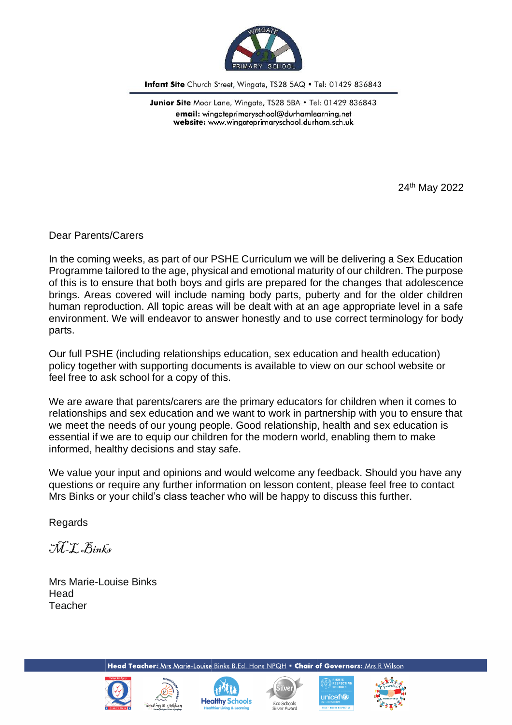

Infant Site Church Street, Wingate, TS28 5AQ . Tel: 01429 836843

Junior Site Moor Lane, Wingate, TS28 5BA . Tel: 01429 836843 email: wingateprimaryschool@durhamlearning.net website: www.wingateprimaryschool.durham.sch.uk

24th May 2022

Dear Parents/Carers

In the coming weeks, as part of our PSHE Curriculum we will be delivering a Sex Education Programme tailored to the age, physical and emotional maturity of our children. The purpose of this is to ensure that both boys and girls are prepared for the changes that adolescence brings. Areas covered will include naming body parts, puberty and for the older children human reproduction. All topic areas will be dealt with at an age appropriate level in a safe environment. We will endeavor to answer honestly and to use correct terminology for body parts.

Our full PSHE (including relationships education, sex education and health education) policy together with supporting documents is available to view on our school website or feel free to ask school for a copy of this.

We are aware that parents/carers are the primary educators for children when it comes to relationships and sex education and we want to work in partnership with you to ensure that we meet the needs of our young people. Good relationship, health and sex education is essential if we are to equip our children for the modern world, enabling them to make informed, healthy decisions and stay safe.

We value your input and opinions and would welcome any feedback. Should you have any questions or require any further information on lesson content, please feel free to contact Mrs Binks or your child's class teacher who will be happy to discuss this further.

**Regards** 

M-L Binks

Mrs Marie-Louise Binks **Head Teacher** 

Head Teacher: Mrs Marie-Louise Binks B.Ed. Hons NPQH . Chair of Governors: Mrs R Wilson